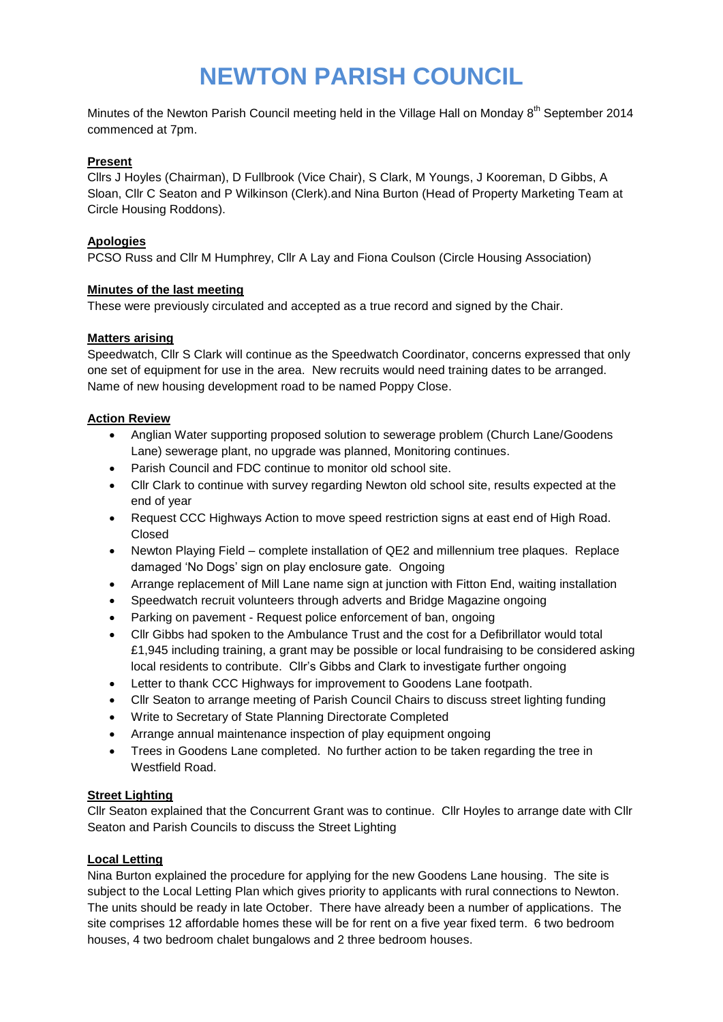# **NEWTON PARISH COUNCIL**

Minutes of the Newton Parish Council meeting held in the Village Hall on Monday 8<sup>th</sup> September 2014 commenced at 7pm.

#### **Present**

Cllrs J Hoyles (Chairman), D Fullbrook (Vice Chair), S Clark, M Youngs, J Kooreman, D Gibbs, A Sloan, Cllr C Seaton and P Wilkinson (Clerk).and Nina Burton (Head of Property Marketing Team at Circle Housing Roddons).

#### **Apologies**

PCSO Russ and Cllr M Humphrey, Cllr A Lay and Fiona Coulson (Circle Housing Association)

## **Minutes of the last meeting**

These were previously circulated and accepted as a true record and signed by the Chair.

## **Matters arising**

Speedwatch, Cllr S Clark will continue as the Speedwatch Coordinator, concerns expressed that only one set of equipment for use in the area. New recruits would need training dates to be arranged. Name of new housing development road to be named Poppy Close.

## **Action Review**

- Anglian Water supporting proposed solution to sewerage problem (Church Lane/Goodens Lane) sewerage plant, no upgrade was planned, Monitoring continues.
- Parish Council and FDC continue to monitor old school site.
- Cllr Clark to continue with survey regarding Newton old school site, results expected at the end of year
- Request CCC Highways Action to move speed restriction signs at east end of High Road. Closed
- Newton Playing Field complete installation of QE2 and millennium tree plaques. Replace damaged 'No Dogs' sign on play enclosure gate. Ongoing
- Arrange replacement of Mill Lane name sign at junction with Fitton End, waiting installation
- Speedwatch recruit volunteers through adverts and Bridge Magazine ongoing
- Parking on pavement Request police enforcement of ban, ongoing
- Cllr Gibbs had spoken to the Ambulance Trust and the cost for a Defibrillator would total £1,945 including training, a grant may be possible or local fundraising to be considered asking local residents to contribute. Cllr's Gibbs and Clark to investigate further ongoing
- Letter to thank CCC Highways for improvement to Goodens Lane footpath.
- Cllr Seaton to arrange meeting of Parish Council Chairs to discuss street lighting funding
- Write to Secretary of State Planning Directorate Completed
- Arrange annual maintenance inspection of play equipment ongoing
- Trees in Goodens Lane completed. No further action to be taken regarding the tree in Westfield Road.

# **Street Lighting**

Cllr Seaton explained that the Concurrent Grant was to continue. Cllr Hoyles to arrange date with Cllr Seaton and Parish Councils to discuss the Street Lighting

#### **Local Letting**

Nina Burton explained the procedure for applying for the new Goodens Lane housing. The site is subject to the Local Letting Plan which gives priority to applicants with rural connections to Newton. The units should be ready in late October. There have already been a number of applications. The site comprises 12 affordable homes these will be for rent on a five year fixed term. 6 two bedroom houses, 4 two bedroom chalet bungalows and 2 three bedroom houses.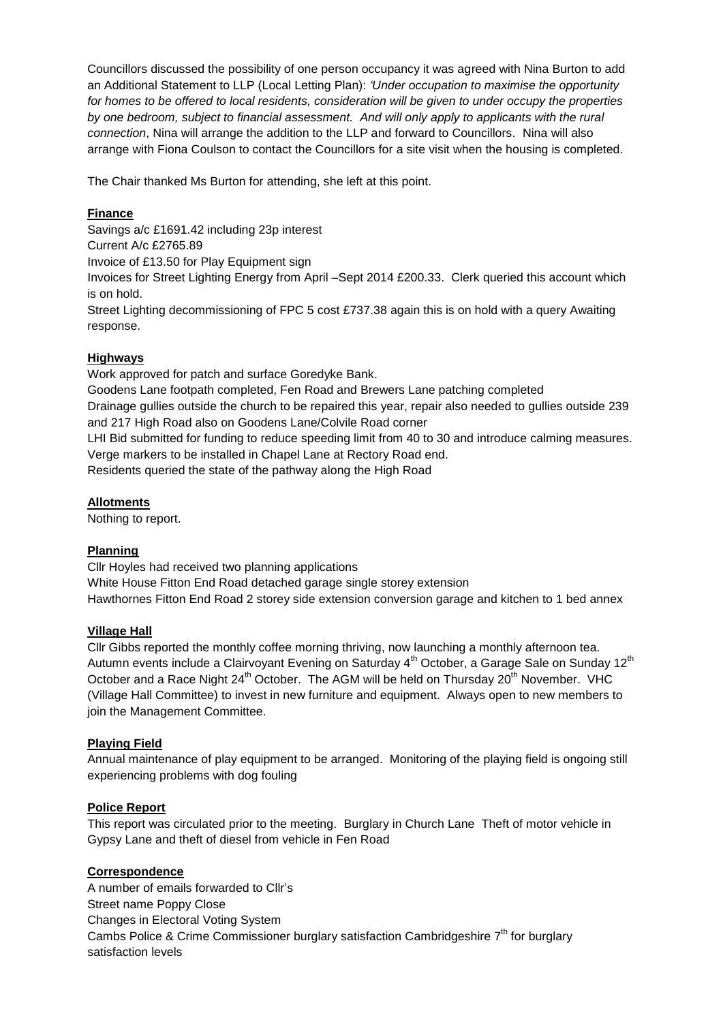Councillors discussed the possibility of one person occupancy it was agreed with Nina Burton to add an Additional Statement to LLP (Local Letting Plan): *'Under occupation to maximise the opportunity for homes to be offered to local residents, consideration will be given to under occupy the properties by one bedroom, subject to financial assessment. And will only apply to applicants with the rural connection*, Nina will arrange the addition to the LLP and forward to Councillors. Nina will also arrange with Fiona Coulson to contact the Councillors for a site visit when the housing is completed.

The Chair thanked Ms Burton for attending, she left at this point.

# **Finance**

Savings a/c £1691.42 including 23p interest Current A/c £2765.89 Invoice of £13.50 for Play Equipment sign Invoices for Street Lighting Energy from April –Sept 2014 £200.33. Clerk queried this account which is on hold.

Street Lighting decommissioning of FPC 5 cost £737.38 again this is on hold with a query Awaiting response.

## **Highways**

Work approved for patch and surface Goredyke Bank.

Goodens Lane footpath completed, Fen Road and Brewers Lane patching completed Drainage gullies outside the church to be repaired this year, repair also needed to gullies outside 239 and 217 High Road also on Goodens Lane/Colvile Road corner

LHI Bid submitted for funding to reduce speeding limit from 40 to 30 and introduce calming measures. Verge markers to be installed in Chapel Lane at Rectory Road end.

Residents queried the state of the pathway along the High Road

## **Allotments**

Nothing to report.

#### **Planning**

Cllr Hoyles had received two planning applications White House Fitton End Road detached garage single storey extension Hawthornes Fitton End Road 2 storey side extension conversion garage and kitchen to 1 bed annex

#### **Village Hall**

Cllr Gibbs reported the monthly coffee morning thriving, now launching a monthly afternoon tea. Autumn events include a Clairvoyant Evening on Saturday 4<sup>th</sup> October, a Garage Sale on Sunday 12<sup>th</sup> October and a Race Night  $24<sup>th</sup>$  October. The AGM will be held on Thursday  $20<sup>th</sup>$  November. VHC (Village Hall Committee) to invest in new furniture and equipment. Always open to new members to join the Management Committee.

#### **Playing Field**

Annual maintenance of play equipment to be arranged. Monitoring of the playing field is ongoing still experiencing problems with dog fouling

# **Police Report**

This report was circulated prior to the meeting. Burglary in Church Lane Theft of motor vehicle in Gypsy Lane and theft of diesel from vehicle in Fen Road

# **Correspondence**

A number of emails forwarded to Cllr's Street name Poppy Close Changes in Electoral Voting System Cambs Police & Crime Commissioner burglary satisfaction Cambridgeshire  $7<sup>th</sup>$  for burglary satisfaction levels